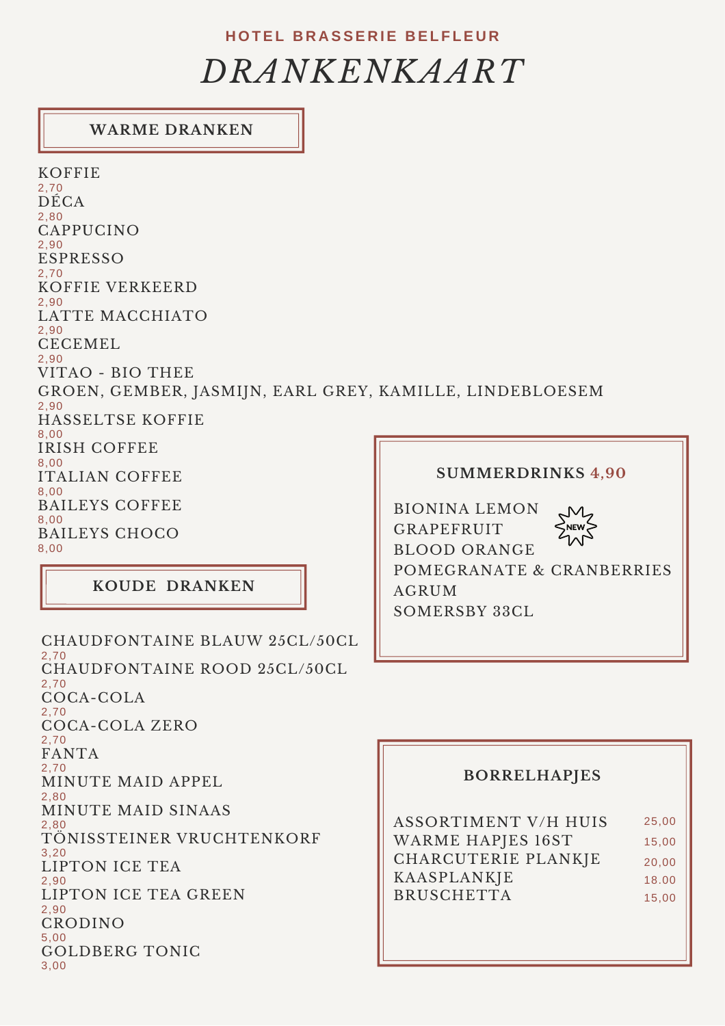### **H O TEL B R A SSE R IE B EL F LE U R**

# *DRANKENKAART*

## **WARME DRANKEN**

**SUMMERDRINKS 4,90** BIONINA LEMON GRAPEFRUIT BLOOD ORANGE POMEGRANATE & CRANBERRIES KOFFIE 2,70 DÉCA 2,80 ESPRESSO 2,70 KOFFIE VERKEERD 2,90 LATTE MACCHIATO 2,90 CECEMEL 2,90 VITAO - BIO THEE GROEN, GEMBER, JASMIJN, EARL GREY, KAMILLE, LINDEBLOESEM 2,90 HASSELTSE KOFFIE 8,00 IRISH COFFEE 8,00 ITALIAN COFFEE 8,00 BAILEYS COFFEE 8,00 BAILEYS CHOCO 8,00 CAPPUCINO 2,90

**KOUDE DRANKEN**

CHAUDFONTAINE BLAUW 25CL/50CL 2,70 CHAUDFONTAINE ROOD 25CL/50CL 2,70 COCA-COLA 2,70 COCA-COLA ZERO 2,70 FANTA 2,70 MINUTE MAID APPEL 2,80 MINUTE MAID SINAAS 2,80 TÖNISSTEINER VRUCHTENKORF 3,20 LIPTON ICE TEA 2,90 LIPTON ICE TEA GREEN 2,90 CRODINO 5,00 GOLDBERG TONIC 3,00

AGRUM SOMERSBY 33CL

### **BORRELHAPJES**

| <b>ASSORTIMENT V/H HUIS</b> | 25,00 |
|-----------------------------|-------|
| <b>WARME HAPJES 16ST</b>    | 15,00 |
| CHARCUTERIE PLANKJE         | 20,00 |
| KAASPLANKJE                 | 18.00 |
| <b>BRUSCHETTA</b>           | 15,00 |